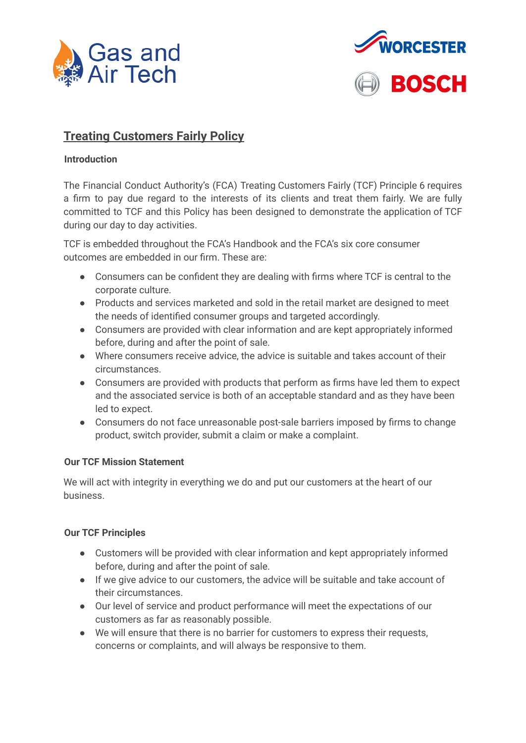



# **Treating Customers Fairly Policy**

## **Introduction**

The Financial Conduct Authority's (FCA) Treating Customers Fairly (TCF) Principle 6 requires a firm to pay due regard to the interests of its clients and treat them fairly. We are fully committed to TCF and this Policy has been designed to demonstrate the application of TCF during our day to day activities.

TCF is embedded throughout the FCA's Handbook and the FCA's six core consumer outcomes are embedded in our firm. These are:

- Consumers can be confident they are dealing with firms where TCF is central to the corporate culture.
- Products and services marketed and sold in the retail market are designed to meet the needs of identified consumer groups and targeted accordingly.
- Consumers are provided with clear information and are kept appropriately informed before, during and after the point of sale.
- Where consumers receive advice, the advice is suitable and takes account of their circumstances.
- Consumers are provided with products that perform as firms have led them to expect and the associated service is both of an acceptable standard and as they have been led to expect.
- Consumers do not face unreasonable post-sale barriers imposed by firms to change product, switch provider, submit a claim or make a complaint.

## **Our TCF Mission Statement**

We will act with integrity in everything we do and put our customers at the heart of our business.

## **Our TCF Principles**

- Customers will be provided with clear information and kept appropriately informed before, during and after the point of sale.
- If we give advice to our customers, the advice will be suitable and take account of their circumstances.
- Our level of service and product performance will meet the expectations of our customers as far as reasonably possible.
- We will ensure that there is no barrier for customers to express their requests, concerns or complaints, and will always be responsive to them.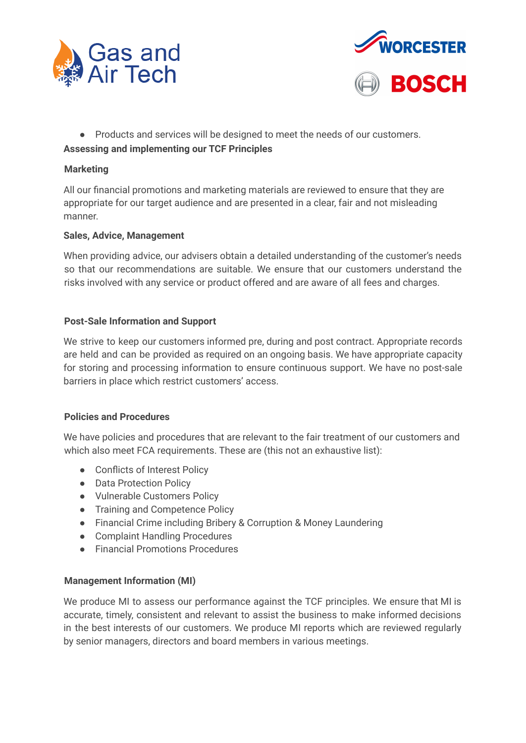



● Products and services will be designed to meet the needs of our customers.

# **Assessing and implementing our TCF Principles**

## **Marketing**

All our financial promotions and marketing materials are reviewed to ensure that they are appropriate for our target audience and are presented in a clear, fair and not misleading manner.

# **Sales, Advice, Management**

When providing advice, our advisers obtain a detailed understanding of the customer's needs so that our recommendations are suitable. We ensure that our customers understand the risks involved with any service or product offered and are aware of all fees and charges.

# **Post-Sale Information and Support**

We strive to keep our customers informed pre, during and post contract. Appropriate records are held and can be provided as required on an ongoing basis. We have appropriate capacity for storing and processing information to ensure continuous support. We have no post-sale barriers in place which restrict customers' access.

## **Policies and Procedures**

We have policies and procedures that are relevant to the fair treatment of our customers and which also meet FCA requirements. These are (this not an exhaustive list):

- Conflicts of Interest Policy
- Data Protection Policy
- Vulnerable Customers Policy
- Training and Competence Policy
- Financial Crime including Bribery & Corruption & Money Laundering
- Complaint Handling Procedures
- Financial Promotions Procedures

# **Management Information (MI)**

We produce MI to assess our performance against the TCF principles. We ensure that MI is accurate, timely, consistent and relevant to assist the business to make informed decisions in the best interests of our customers. We produce MI reports which are reviewed regularly by senior managers, directors and board members in various meetings.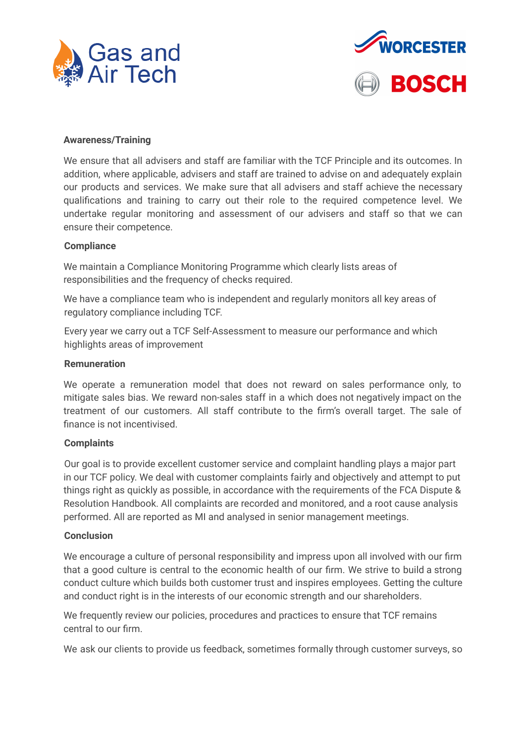



#### **Awareness/Training**

We ensure that all advisers and staff are familiar with the TCF Principle and its outcomes. In addition, where applicable, advisers and staff are trained to advise on and adequately explain our products and services. We make sure that all advisers and staff achieve the necessary qualifications and training to carry out their role to the required competence level. We undertake regular monitoring and assessment of our advisers and staff so that we can ensure their competence.

#### **Compliance**

We maintain a Compliance Monitoring Programme which clearly lists areas of responsibilities and the frequency of checks required.

We have a compliance team who is independent and regularly monitors all key areas of regulatory compliance including TCF.

Every year we carry out a TCF Self-Assessment to measure our performance and which highlights areas of improvement

#### **Remuneration**

We operate a remuneration model that does not reward on sales performance only, to mitigate sales bias. We reward non-sales staff in a which does not negatively impact on the treatment of our customers. All staff contribute to the firm's overall target. The sale of finance is not incentivised.

#### **Complaints**

Our goal is to provide excellent customer service and complaint handling plays a major part in our TCF policy. We deal with customer complaints fairly and objectively and attempt to put things right as quickly as possible, in accordance with the requirements of the FCA Dispute & Resolution Handbook. All complaints are recorded and monitored, and a root cause analysis performed. All are reported as MI and analysed in senior management meetings.

#### **Conclusion**

We encourage a culture of personal responsibility and impress upon all involved with our firm that a good culture is central to the economic health of our firm. We strive to build a strong conduct culture which builds both customer trust and inspires employees. Getting the culture and conduct right is in the interests of our economic strength and our shareholders.

We frequently review our policies, procedures and practices to ensure that TCF remains central to our firm.

We ask our clients to provide us feedback, sometimes formally through customer surveys, so